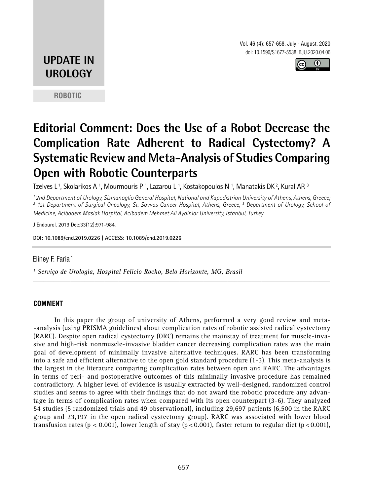Vol. 46 (4): 657-658, July - August, 2020 doi: 10.1590/S1677-5538.IBJU.2020.04.06



## **UPDATE IN UROLOGY**

**ROBOTIC**

# **Editorial Comment: Does the Use of a Robot Decrease the Complication Rate Adherent to Radical Cystectomy? A Systematic Review and Meta-Analysis of Studies Comparing Open with Robotic Counterparts**

Tzelves L <sup>1</sup>, Skolarikos A <sup>1</sup>, Mourmouris P <sup>1</sup>, Lazarou L <sup>1</sup>, Kostakopoulos N <sup>1</sup>, Manatakis DK <sup>2</sup>, Kural AR <sup>3</sup>

*1 2nd Department of Urology, Sismanoglio General Hospital, National and Kapodistrian University of Athens, Athens, Greece; 2 1st Department of Surgical Oncology, St. Savvas Cancer Hospital, Athens, Greece; 3 Department of Urology, School of Medicine, Acibadem Maslak Hospital, Acibadem Mehmet Ali Aydinlar University, Istanbul, Turkey*

*\_\_\_\_\_\_\_\_\_\_\_\_\_\_\_\_\_\_\_\_\_\_\_\_\_\_\_\_\_\_\_\_\_\_\_\_\_\_\_\_\_\_\_\_\_\_\_\_\_\_\_\_\_\_\_\_\_\_\_\_\_\_\_\_\_\_\_\_\_\_\_\_\_\_\_\_\_\_\_\_\_\_\_\_\_\_\_*

J Endourol. 2019 Dec;33(12):971-984.

**I: 10.1089/end.2019.0226 | ACCESS: 10.1089/end.2019.0226 \_\_\_\_\_\_\_\_\_\_\_\_\_\_\_\_\_\_\_\_\_\_\_\_\_\_\_\_\_\_\_\_\_\_\_\_\_\_\_\_\_\_\_ DO \_\_**

#### Eliney F. Faria<sup>1</sup>

*1 Serviço de Urologia, Hospital Felicio Rocho, Belo Horizonte, MG, Brasil*

#### **COMMENT**

In this paper the group of university of Athens, performed a very good review and meta- -analysis (using PRISMA guidelines) about complication rates of robotic assisted radical cystectomy (RARC). Despite open radical cystectomy (ORC) remains the mainstay of treatment for muscle-invasive and high-risk nonmuscle-invasive bladder cancer decreasing complication rates was the main goal of development of minimally invasive alternative techniques. RARC has been transforming into a safe and efficient alternative to the open gold standard procedure (1-3). This meta-analysis is the largest in the literature comparing complication rates between open and RARC. The advantages in terms of peri- and postoperative outcomes of this minimally invasive procedure has remained contradictory. A higher level of evidence is usually extracted by well-designed, randomized control studies and seems to agree with their findings that do not award the robotic procedure any advantage in terms of complication rates when compared with its open counterpart (3-6). They analyzed 54 studies (5 randomized trials and 49 observational), including 29,697 patients (6,500 in the RARC group and 23,197 in the open radical cystectomy group). RARC was associated with lower blood transfusion rates ( $p < 0.001$ ), lower length of stay ( $p < 0.001$ ), faster return to regular diet ( $p < 0.001$ ),